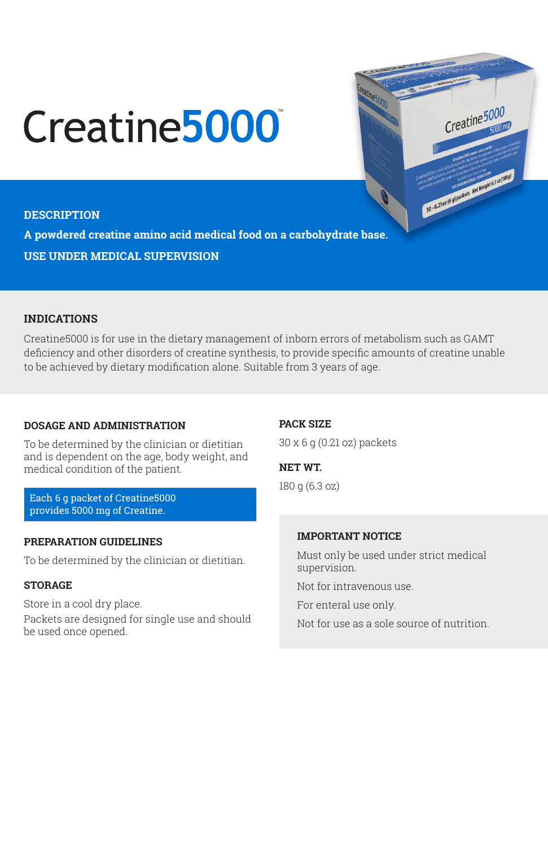# Creatine<sup>5000</sup>

#### **DESCRIPTION**

**A powdered creatine amino acid medical food on a carbohydrate base. USE UNDER MEDICAL SUPERVISION**

#### **INDICATIONS**

Creatine5000 is for use in the dietary management of inborn errors of metabolism such as GAMT deficiency and other disorders of creatine synthesis, to provide specific amounts of creatine unable to be achieved by dietary modification alone. Suitable from 3 years of age.

#### **DOSAGE AND ADMINISTRATION**

To be determined by the clinician or dietitian and is dependent on the age, body weight, and medical condition of the patient.

Each 6 g packet of Creatine5000 provides 5000 mg of Creatine.

#### **PREPARATION GUIDELINES**

To be determined by the clinician or dietitian.

# **STORAGE**

Store in a cool dry place.

Packets are designed for single use and should be used once opened.

#### **PACK SIZE**

30 x 6 g (0.21 oz) packets

## **NET WT.**

180 g (6.3 oz)

## **IMPORTANT NOTICE**

Must only be used under strict medical supervision.

Creatine 5000

**SO-0.21or (6) packets McMinghi 6.3 or (INS)** 

Not for intravenous use.

For enteral use only.

Not for use as a sole source of nutrition.